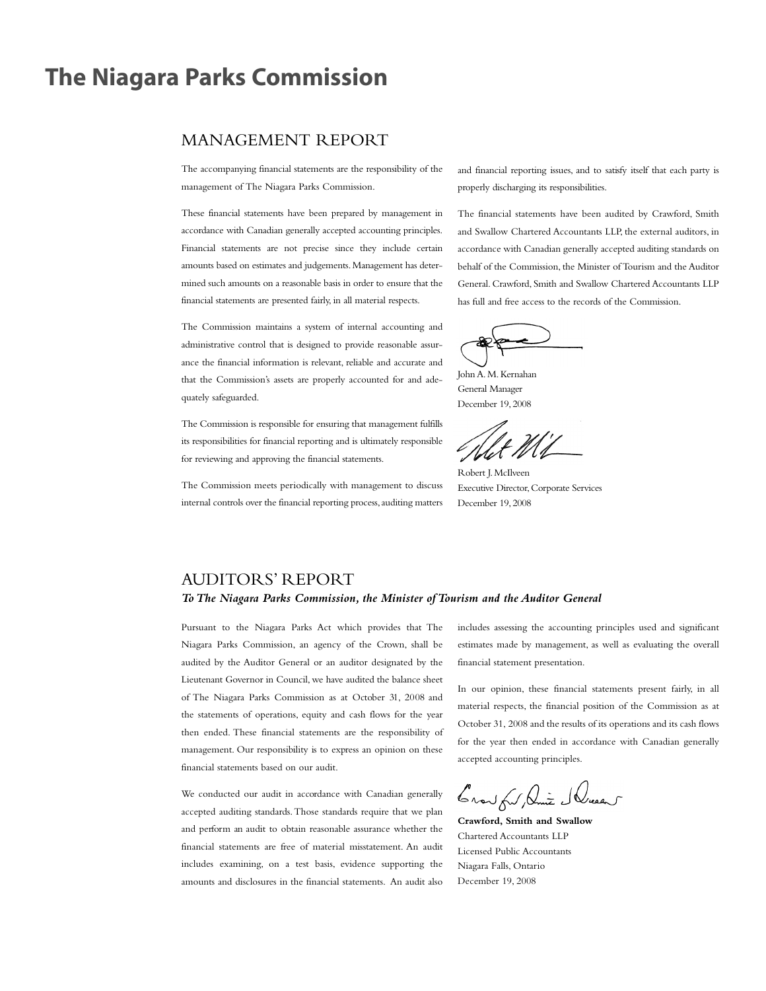# **The Niagara Parks Commission**

# MANAGEMENT REPORT

The accompanying financial statements are the responsibility of the management of The Niagara Parks Commission.

These financial statements have been prepared by management in accordance with Canadian generally accepted accounting principles. Financial statements are not precise since they include certain amounts based on estimates and judgements.Management has determined such amounts on a reasonable basis in order to ensure that the financial statements are presented fairly, in all material respects.

The Commission maintains a system of internal accounting and administrative control that is designed to provide reasonable assurance the financial information is relevant, reliable and accurate and that the Commission's assets are properly accounted for and adequately safeguarded.

The Commission is responsible for ensuring that management fulfills its responsibilities for financial reporting and is ultimately responsible for reviewing and approving the financial statements.

The Commission meets periodically with management to discuss internal controls over the financial reporting process, auditing matters and financial reporting issues, and to satisfy itself that each party is properly discharging its responsibilities.

The financial statements have been audited by Crawford, Smith and Swallow Chartered Accountants LLP, the external auditors, in accordance with Canadian generally accepted auditing standards on behalf of the Commission, the Minister of Tourism and the Auditor General. Crawford, Smith and Swallow Chartered Accountants LLP has full and free access to the records of the Commission.

JohnA.M.Kernahan General Manager December 19, 2008

Robert J.McIlveen Executive Director,Corporate Services December 19, 2008

# AUDITORS' REPORT

# *ToThe Niagara Parks Commission, the Minister ofTourism and the Auditor General*

Pursuant to the Niagara Parks Act which provides that The Niagara Parks Commission, an agency of the Crown, shall be audited by the Auditor General or an auditor designated by the Lieutenant Governor in Council, we have audited the balance sheet of The Niagara Parks Commission as at October 31, 2008 and the statements of operations, equity and cash flows for the year then ended. These financial statements are the responsibility of management. Our responsibility is to express an opinion on these financial statements based on our audit.

We conducted our audit in accordance with Canadian generally accepted auditing standards.Those standards require that we plan and perform an audit to obtain reasonable assurance whether the financial statements are free of material misstatement. An audit includes examining, on a test basis, evidence supporting the amounts and disclosures in the financial statements. An audit also includes assessing the accounting principles used and significant estimates made by management, as well as evaluating the overall financial statement presentation.

In our opinion, these financial statements present fairly, in all material respects, the financial position of the Commission as at October 31, 2008 and the results of its operations and its cash flows for the year then ended in accordance with Canadian generally accepted accounting principles.

Crowfor, Amic Schuel

**Crawford, Smith and Swallow** Chartered Accountants LLP Licensed Public Accountants Niagara Falls, Ontario December 19, 2008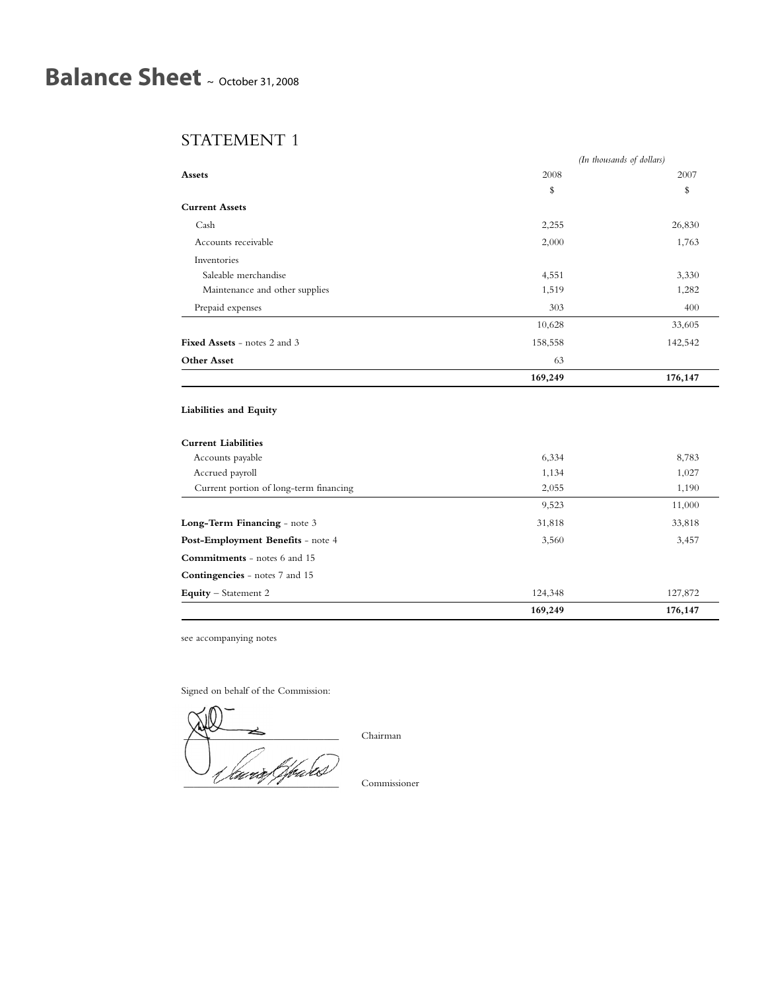# **Balance Sheet** <sup>~</sup> October 31, <sup>2008</sup>

# STATEMENT 1

|                                        |         | (In thousands of dollars) |  |
|----------------------------------------|---------|---------------------------|--|
| <b>Assets</b>                          | 2008    | 2007                      |  |
|                                        | \$      | \$                        |  |
| <b>Current Assets</b>                  |         |                           |  |
| Cash                                   | 2,255   | 26,830                    |  |
| Accounts receivable                    | 2,000   | 1,763                     |  |
| Inventories                            |         |                           |  |
| Saleable merchandise                   | 4,551   | 3,330                     |  |
| Maintenance and other supplies         | 1,519   | 1,282                     |  |
| Prepaid expenses                       | 303     | 400                       |  |
|                                        | 10,628  | 33,605                    |  |
| <b>Fixed Assets - notes 2 and 3</b>    | 158,558 | 142,542                   |  |
| <b>Other Asset</b>                     | 63      |                           |  |
|                                        | 169,249 | 176,147                   |  |
|                                        |         |                           |  |
| Liabilities and Equity                 |         |                           |  |
| <b>Current Liabilities</b>             |         |                           |  |
| Accounts payable                       | 6,334   | 8,783                     |  |
| Accrued payroll                        | 1,134   | 1,027                     |  |
| Current portion of long-term financing | 2,055   | 1,190                     |  |
|                                        | 9,523   | 11,000                    |  |
| Long-Term Financing - note 3           | 31,818  | 33,818                    |  |
| Post-Employment Benefits - note 4      | 3,560   | 3,457                     |  |
| Commitments - notes 6 and 15           |         |                           |  |
| Contingencies - notes 7 and 15         |         |                           |  |
| Equity - Statement 2                   | 124,348 | 127,872                   |  |
|                                        | 169,249 | 176,147                   |  |

see accompanying notes

Signed on behalf of the Commission:

\_\_\_\_\_\_\_\_\_\_\_\_\_\_\_\_\_\_\_\_\_\_\_\_\_\_\_\_\_\_\_ Commissioner

\_\_\_\_\_\_\_\_\_\_\_\_\_\_\_\_\_\_\_\_\_\_\_\_\_\_\_\_\_\_\_ Chairman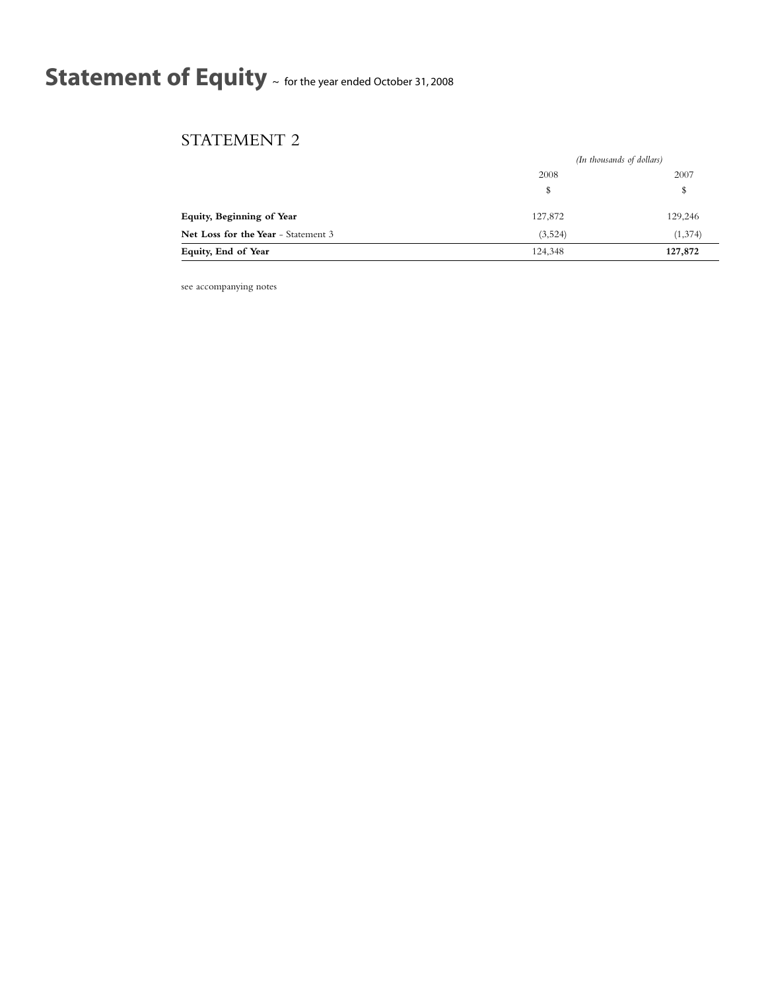# **Statement of Equity** <sup>~</sup> for the year ended October 31, <sup>2008</sup>

# STATEMENT 2

|                                     |         | (In thousands of dollars) |  |
|-------------------------------------|---------|---------------------------|--|
|                                     | 2008    | 2007                      |  |
|                                     | \$      | \$                        |  |
| Equity, Beginning of Year           | 127,872 | 129,246                   |  |
| Net Loss for the Year - Statement 3 | (3,524) | (1,374)                   |  |
| Equity, End of Year                 | 124,348 | 127,872                   |  |

see accompanying notes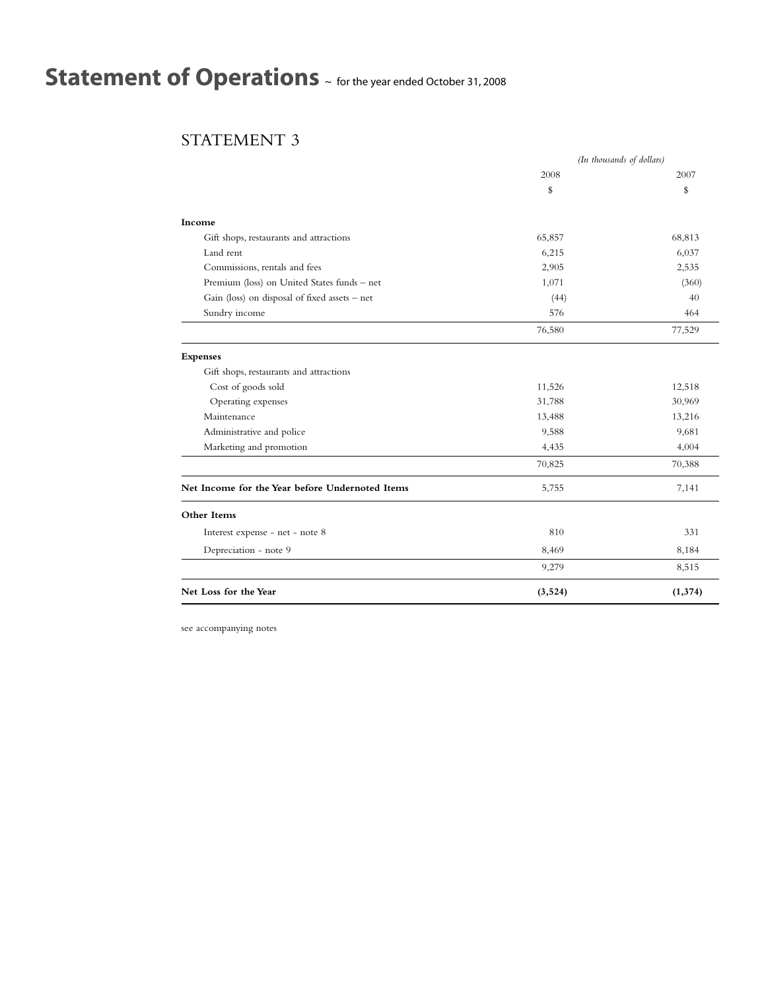# **Statement of Operations** <sup>~</sup> for the year ended October 31, <sup>2008</sup>

# STATEMENT 3

|                                                 |          | (In thousands of dollars) |
|-------------------------------------------------|----------|---------------------------|
|                                                 | 2008     | 2007                      |
|                                                 | \$       | \$                        |
| Income                                          |          |                           |
| Gift shops, restaurants and attractions         | 65,857   | 68,813                    |
| Land rent                                       | 6,215    | 6,037                     |
| Commissions, rentals and fees                   | 2,905    | 2,535                     |
| Premium (loss) on United States funds - net     | 1,071    | (360)                     |
| Gain (loss) on disposal of fixed assets - net   | (44)     | 40                        |
| Sundry income                                   | 576      | 464                       |
|                                                 | 76,580   | 77,529                    |
| <b>Expenses</b>                                 |          |                           |
| Gift shops, restaurants and attractions         |          |                           |
| Cost of goods sold                              | 11,526   | 12,518                    |
| Operating expenses                              | 31,788   | 30,969                    |
| Maintenance                                     | 13,488   | 13,216                    |
| Administrative and police                       | 9,588    | 9,681                     |
| Marketing and promotion                         | 4,435    | 4,004                     |
|                                                 | 70,825   | 70,388                    |
| Net Income for the Year before Undernoted Items | 5,755    | 7,141                     |
| Other Items                                     |          |                           |
| Interest expense - net - note 8                 | 810      | 331                       |
| Depreciation - note 9                           | 8,469    | 8,184                     |
|                                                 | 9,279    | 8,515                     |
| Net Loss for the Year                           | (3, 524) | (1, 374)                  |

see accompanying notes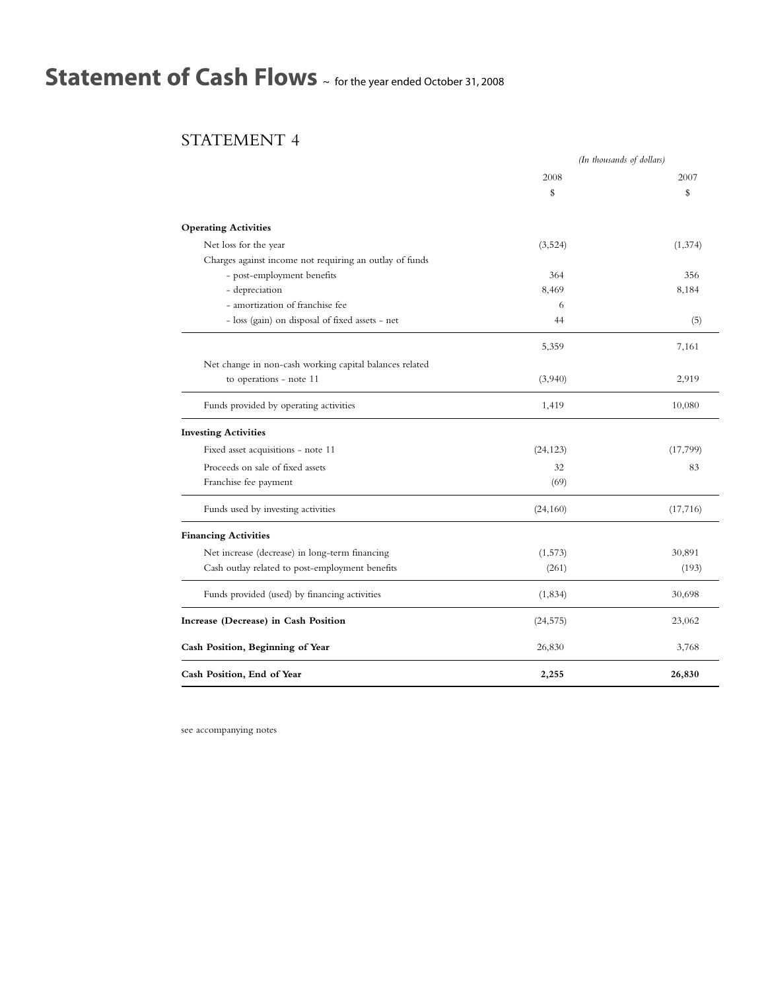# **Statement of Cash Flows** <sup>~</sup> for the year ended October 31, <sup>2008</sup>

# STATEMENT 4

|                                                         | (In thousands of dollars) |           |
|---------------------------------------------------------|---------------------------|-----------|
|                                                         | 2008                      | 2007      |
|                                                         | \$                        | \$        |
| <b>Operating Activities</b>                             |                           |           |
| Net loss for the year                                   | (3,524)                   | (1, 374)  |
| Charges against income not requiring an outlay of funds |                           |           |
| - post-employment benefits                              | 364                       | 356       |
| - depreciation                                          | 8,469                     | 8,184     |
| - amortization of franchise fee                         | 6                         |           |
| - loss (gain) on disposal of fixed assets - net         | 44                        | (5)       |
|                                                         | 5,359                     | 7,161     |
| Net change in non-cash working capital balances related |                           |           |
| to operations - note 11                                 | (3,940)                   | 2,919     |
| Funds provided by operating activities                  | 1,419                     | 10,080    |
| <b>Investing Activities</b>                             |                           |           |
| Fixed asset acquisitions - note 11                      | (24, 123)                 | (17, 799) |
| Proceeds on sale of fixed assets                        | 32                        | 83        |
| Franchise fee payment                                   | (69)                      |           |
| Funds used by investing activities                      | (24, 160)                 | (17, 716) |
| <b>Financing Activities</b>                             |                           |           |
| Net increase (decrease) in long-term financing          | (1,573)                   | 30,891    |
| Cash outlay related to post-employment benefits         | (261)                     | (193)     |
| Funds provided (used) by financing activities           | (1,834)                   | 30,698    |
| Increase (Decrease) in Cash Position                    | (24, 575)                 | 23,062    |
| Cash Position, Beginning of Year                        | 26,830                    | 3,768     |
| Cash Position, End of Year                              | 2,255                     | 26,830    |

see accompanying notes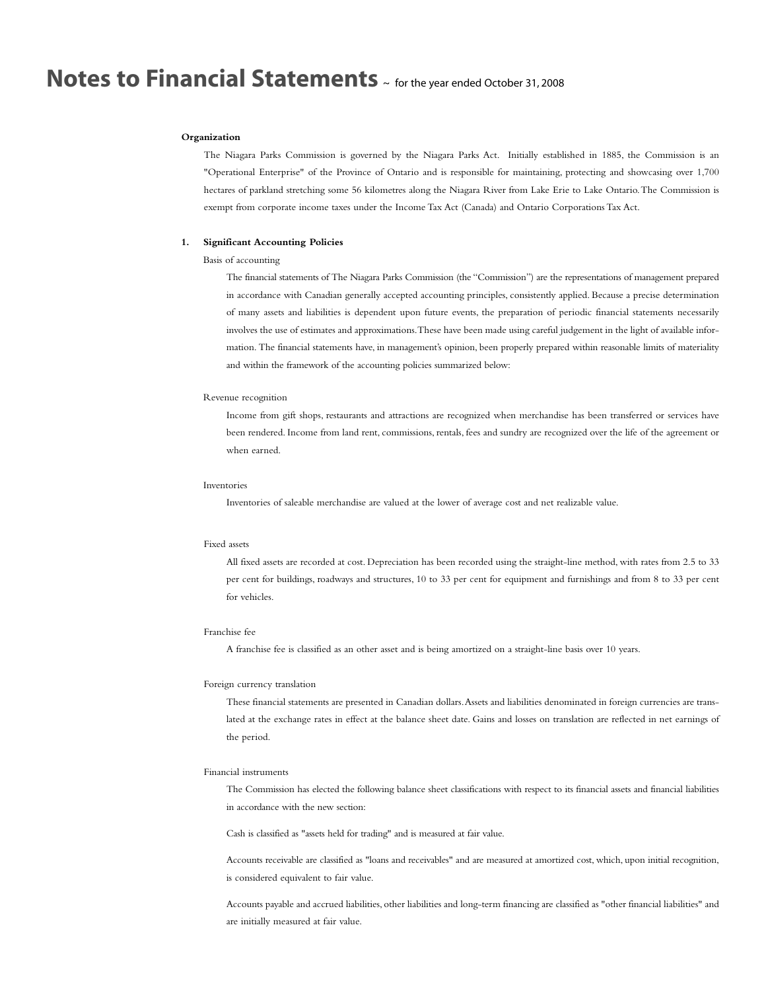#### **Organization**

The Niagara Parks Commission is governed by the Niagara Parks Act. Initially established in 1885, the Commission is an "Operational Enterprise" of the Province of Ontario and is responsible for maintaining, protecting and showcasing over 1,700 hectares of parkland stretching some 56 kilometres along the Niagara River from Lake Erie to Lake Ontario.The Commission is exempt from corporate income taxes under the Income Tax Act (Canada) and Ontario Corporations Tax Act.

#### **1. Significant Accounting Policies**

## Basis of accounting

The financial statements of The Niagara Parks Commission (the "Commission") are the representations of management prepared in accordance with Canadian generally accepted accounting principles, consistently applied. Because a precise determination of many assets and liabilities is dependent upon future events, the preparation of periodic financial statements necessarily involves the use of estimates and approximations.These have been made using careful judgement in the light of available information. The financial statements have, in management's opinion, been properly prepared within reasonable limits of materiality and within the framework of the accounting policies summarized below:

### Revenue recognition

Income from gift shops, restaurants and attractions are recognized when merchandise has been transferred or services have been rendered. Income from land rent, commissions, rentals, fees and sundry are recognized over the life of the agreement or when earned.

#### Inventories

Inventories of saleable merchandise are valued at the lower of average cost and net realizable value.

### Fixed assets

All fixed assets are recorded at cost. Depreciation has been recorded using the straight-line method, with rates from 2.5 to 33 per cent for buildings, roadways and structures, 10 to 33 per cent for equipment and furnishings and from 8 to 33 per cent for vehicles.

### Franchise fee

A franchise fee is classified as an other asset and is being amortized on a straight-line basis over 10 years.

#### Foreign currency translation

These financial statements are presented in Canadian dollars.Assets and liabilities denominated in foreign currencies are translated at the exchange rates in effect at the balance sheet date. Gains and losses on translation are reflected in net earnings of the period.

#### Financial instruments

The Commission has elected the following balance sheet classifications with respect to its financial assets and financial liabilities in accordance with the new section:

Cash is classified as "assets held for trading" and is measured at fair value.

Accounts receivable are classified as "loans and receivables" and are measured at amortized cost, which, upon initial recognition, is considered equivalent to fair value.

Accounts payable and accrued liabilities, other liabilities and long-term financing are classified as "other financial liabilities" and are initially measured at fair value.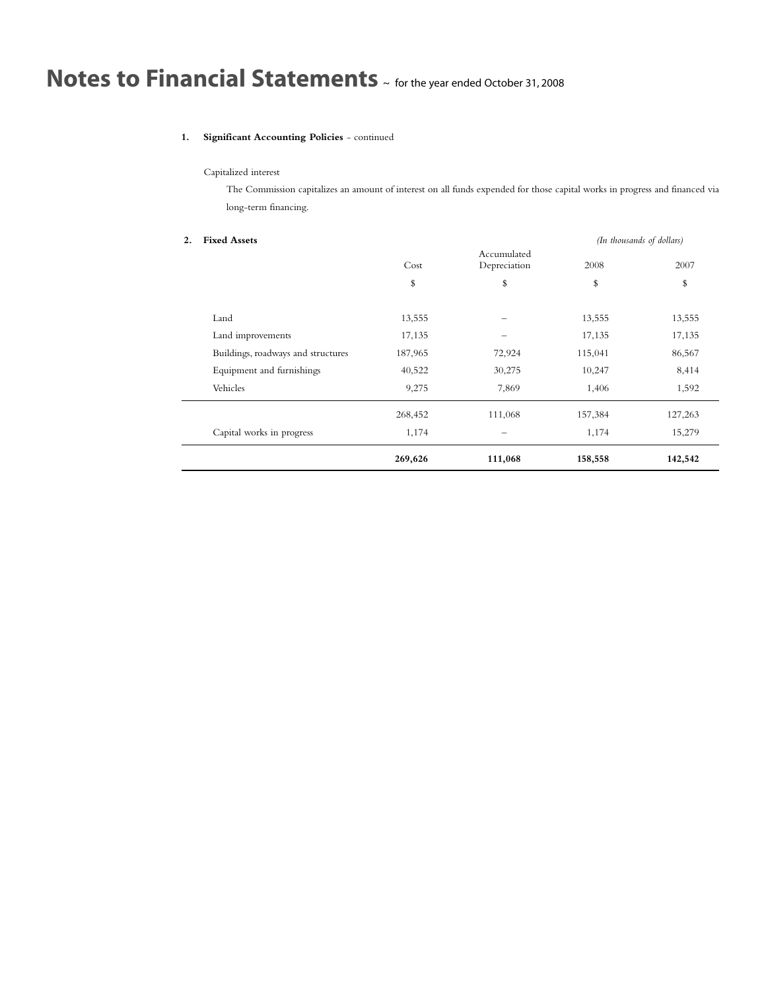# **1. Significant Accounting Policies** - continued

# Capitalized interest

The Commission capitalizes an amount of interest on all funds expended for those capital works in progress and financed via long-term financing.

| 2. | <b>Fixed Assets</b>                |         | (In thousands of dollars)   |         |         |
|----|------------------------------------|---------|-----------------------------|---------|---------|
|    |                                    | Cost    | Accumulated<br>Depreciation | 2008    | 2007    |
|    |                                    | \$      | \$                          | \$      | \$      |
|    | Land                               | 13,555  |                             | 13,555  | 13,555  |
|    | Land improvements                  | 17,135  |                             | 17,135  | 17,135  |
|    | Buildings, roadways and structures | 187,965 | 72,924                      | 115,041 | 86,567  |
|    | Equipment and furnishings          | 40,522  | 30,275                      | 10,247  | 8,414   |
|    | Vehicles                           | 9,275   | 7,869                       | 1,406   | 1,592   |
|    |                                    | 268,452 | 111,068                     | 157,384 | 127,263 |
|    | Capital works in progress          | 1,174   |                             | 1,174   | 15,279  |
|    |                                    | 269,626 | 111,068                     | 158,558 | 142,542 |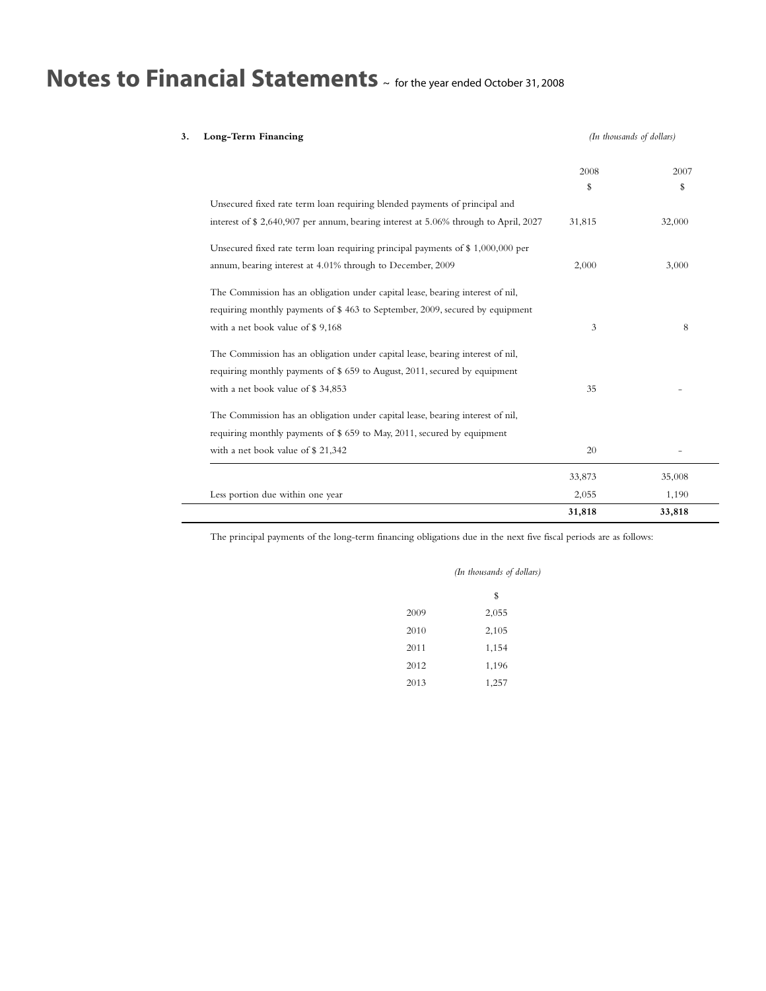| Long-Term Financing                                                                  |        | (In thousands of dollars) |  |
|--------------------------------------------------------------------------------------|--------|---------------------------|--|
|                                                                                      | 2008   | 2007                      |  |
|                                                                                      | \$     | \$                        |  |
| Unsecured fixed rate term loan requiring blended payments of principal and           |        |                           |  |
| interest of \$ 2,640,907 per annum, bearing interest at 5.06% through to April, 2027 | 31,815 | 32,000                    |  |
| Unsecured fixed rate term loan requiring principal payments of $\$1,000,000$ per     |        |                           |  |
| annum, bearing interest at 4.01% through to December, 2009                           | 2,000  | 3,000                     |  |
| The Commission has an obligation under capital lease, bearing interest of nil,       |        |                           |  |
| requiring monthly payments of \$463 to September, 2009, secured by equipment         |        |                           |  |
| with a net book value of \$9,168                                                     | 3      | 8                         |  |
| The Commission has an obligation under capital lease, bearing interest of nil,       |        |                           |  |
| requiring monthly payments of \$659 to August, 2011, secured by equipment            |        |                           |  |
| with a net book value of \$34,853                                                    | 35     |                           |  |
| The Commission has an obligation under capital lease, bearing interest of nil,       |        |                           |  |
| requiring monthly payments of \$ 659 to May, 2011, secured by equipment              |        |                           |  |
| with a net book value of \$21,342                                                    | 20     |                           |  |
|                                                                                      | 33,873 | 35,008                    |  |
| Less portion due within one year                                                     | 2,055  | 1,190                     |  |
|                                                                                      | 31,818 | 33,818                    |  |

The principal payments of the long-term financing obligations due in the next five fiscal periods are as follows:

|      | (In thousands of dollars) |  |
|------|---------------------------|--|
|      | \$                        |  |
| 2009 | 2,055                     |  |
| 2010 | 2,105                     |  |
| 2011 | 1,154                     |  |
| 2012 | 1,196                     |  |
| 2013 | 1,257                     |  |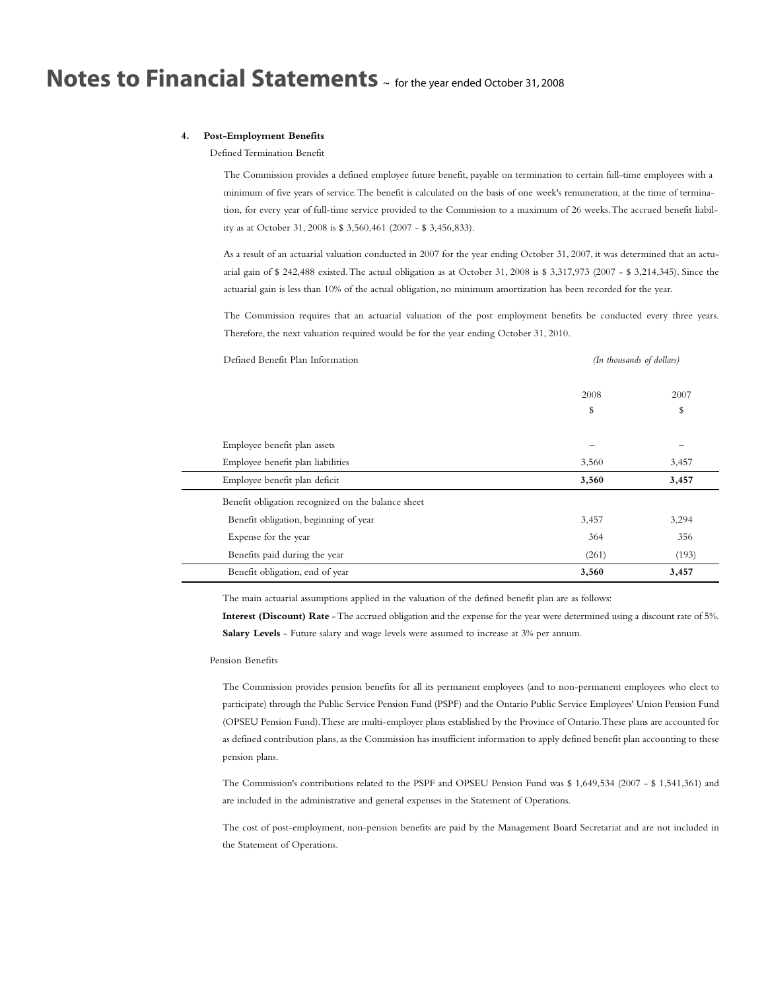### **4. Post-Employment Benefits**

Defined Termination Benefit

The Commission provides a defined employee future benefit, payable on termination to certain full-time employees with a minimum of five years of service.The benefit is calculated on the basis of one week's remuneration, at the time of termination, for every year of full-time service provided to the Commission to a maximum of 26 weeks.The accrued benefit liability as at October 31, 2008 is \$ 3,560,461 (2007 - \$ 3,456,833).

As a result of an actuarial valuation conducted in 2007 for the year ending October 31, 2007, it was determined that an actuarial gain of \$ 242,488 existed.The actual obligation as at October 31, 2008 is \$ 3,317,973 (2007 - \$ 3,214,345). Since the actuarial gain is less than 10% of the actual obligation, no minimum amortization has been recorded for the year.

The Commission requires that an actuarial valuation of the post employment benefits be conducted every three years. Therefore, the next valuation required would be for the year ending October 31, 2010.

| Defined Benefit Plan Information                   | (In thousands of dollars) |       |
|----------------------------------------------------|---------------------------|-------|
|                                                    | 2008                      | 2007  |
|                                                    | \$                        | \$    |
| Employee benefit plan assets                       |                           |       |
| Employee benefit plan liabilities                  | 3,560                     | 3,457 |
| Employee benefit plan deficit                      | 3,560                     | 3,457 |
| Benefit obligation recognized on the balance sheet |                           |       |
| Benefit obligation, beginning of year              | 3,457                     | 3,294 |
| Expense for the year                               | 364                       | 356   |
| Benefits paid during the year                      | (261)                     | (193) |
| Benefit obligation, end of year                    | 3,560                     | 3,457 |

The main actuarial assumptions applied in the valuation of the defined benefit plan are as follows:

**Interest (Discount) Rate** -The accrued obligation and the expense for the year were determined using a discount rate of 5%. **Salary Levels** - Future salary and wage levels were assumed to increase at 3% per annum.

### Pension Benefits

The Commission provides pension benefits for all its permanent employees (and to non-permanent employees who elect to participate) through the Public Service Pension Fund (PSPF) and the Ontario Public Service Employees' Union Pension Fund (OPSEU Pension Fund).These are multi-employer plans established by the Province of Ontario.These plans are accounted for as defined contribution plans, as the Commission has insufficient information to apply defined benefit plan accounting to these pension plans.

The Commission's contributions related to the PSPF and OPSEU Pension Fund was \$ 1,649,534 (2007 - \$ 1,541,361) and are included in the administrative and general expenses in the Statement of Operations.

The cost of post-employment, non-pension benefits are paid by the Management Board Secretariat and are not included in the Statement of Operations.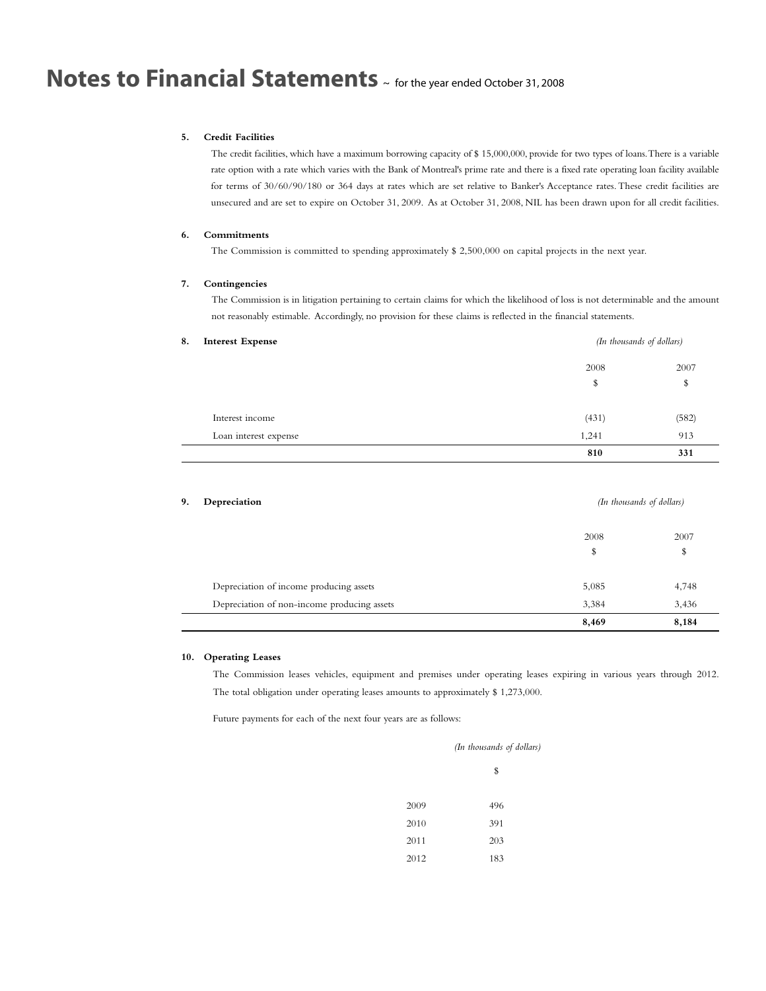### **5. Credit Facilities**

The credit facilities, which have a maximum borrowing capacity of \$ 15,000,000, provide for two types of loans.There is a variable rate option with a rate which varies with the Bank of Montreal's prime rate and there is a fixed rate operating loan facility available for terms of 30/60/90/180 or 364 days at rates which are set relative to Banker's Acceptance rates.These credit facilities are unsecured and are set to expire on October 31, 2009. As at October 31, 2008, NIL has been drawn upon for all credit facilities.

# **6. Commitments**

The Commission is committed to spending approximately \$ 2,500,000 on capital projects in the next year.

## **7. Contingencies**

The Commission is in litigation pertaining to certain claims for which the likelihood of loss is not determinable and the amount not reasonably estimable. Accordingly, no provision for these claims is reflected in the financial statements.

| 8. | <b>Interest Expense</b> |       | (In thousands of dollars) |  |
|----|-------------------------|-------|---------------------------|--|
|    |                         | 2008  | 2007                      |  |
|    |                         | \$    | \$                        |  |
|    | Interest income         | (431) | (582)                     |  |
|    | Loan interest expense   | 1,241 | 913                       |  |
|    |                         | 810   | 331                       |  |

| 9. | Depreciation                                | (In thousands of dollars) |       |
|----|---------------------------------------------|---------------------------|-------|
|    |                                             | 2008                      | 2007  |
|    |                                             | \$                        | \$    |
|    | Depreciation of income producing assets     | 5,085                     | 4,748 |
|    | Depreciation of non-income producing assets | 3,384                     | 3,436 |
|    |                                             | 8,469                     | 8,184 |

### **10. Operating Leases**

The Commission leases vehicles, equipment and premises under operating leases expiring in various years through 2012. The total obligation under operating leases amounts to approximately \$ 1,273,000.

Future payments for each of the next four years are as follows:

|      | (In thousands of dollars) |
|------|---------------------------|
|      | \$                        |
| 2009 | 496                       |
| 2010 | 391                       |
| 2011 | 203                       |
| 2012 | 183                       |
|      |                           |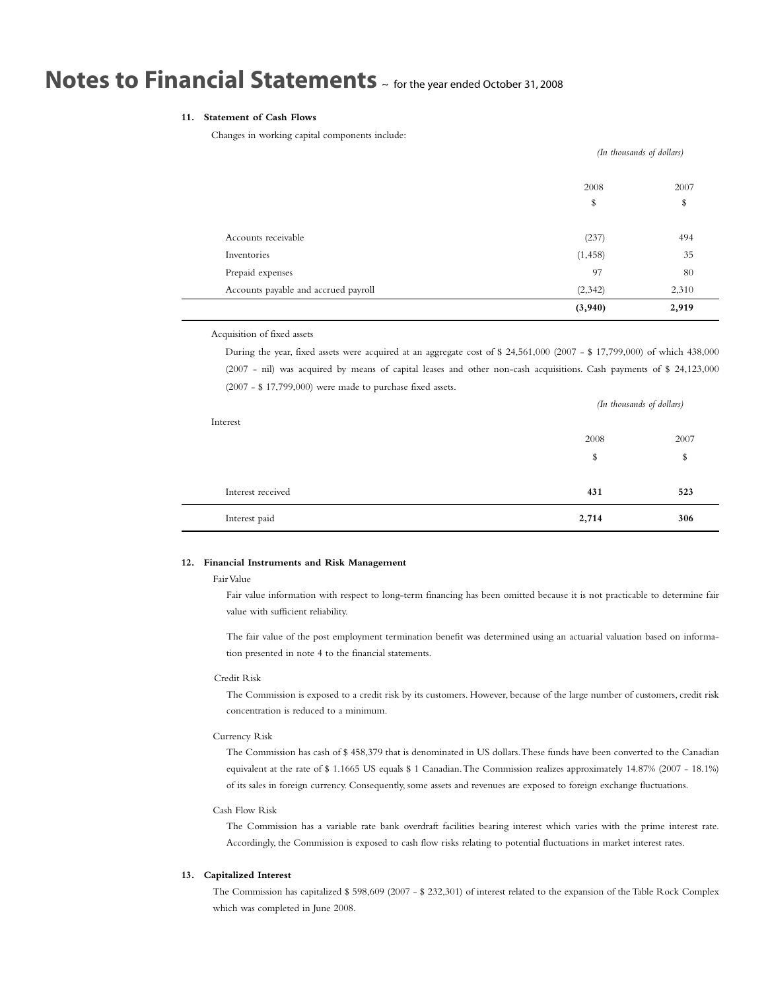# **11. Statement of Cash Flows**

Changes in working capital components include:

| Accounts receivable                  | (237)    | 494   |
|--------------------------------------|----------|-------|
| Inventories                          | (1, 458) | 35    |
| Prepaid expenses                     | 97       | 80    |
| Accounts payable and accrued payroll | (2,342)  | 2,310 |
|                                      | (3,940)  | 2,919 |

Acquisition of fixed assets

During the year, fixed assets were acquired at an aggregate cost of \$ 24,561,000 (2007 - \$ 17,799,000) of which 438,000 (2007 - nil) was acquired by means of capital leases and other non-cash acquisitions. Cash payments of \$ 24,123,000 (2007 - \$ 17,799,000) were made to purchase fixed assets.

| Interest          |       | (In thousands of dollars) |  |
|-------------------|-------|---------------------------|--|
|                   | 2008  | 2007                      |  |
|                   | \$    | \$                        |  |
|                   |       |                           |  |
| Interest received | 431   | 523                       |  |
| Interest paid     | 2,714 | 306                       |  |

## **12. Financial Instruments and Risk Management**

### Fair Value

Fair value information with respect to long-term financing has been omitted because it is not practicable to determine fair value with sufficient reliability.

The fair value of the post employment termination benefit was determined using an actuarial valuation based on information presented in note 4 to the financial statements.

### Credit Risk

The Commission is exposed to a credit risk by its customers. However, because of the large number of customers, credit risk concentration is reduced to a minimum.

### Currency Risk

The Commission has cash of \$ 458,379 that is denominated in US dollars.These funds have been converted to the Canadian equivalent at the rate of \$ 1.1665 US equals \$ 1 Canadian.The Commission realizes approximately 14.87% (2007 - 18.1%) of its sales in foreign currency. Consequently, some assets and revenues are exposed to foreign exchange fluctuations.

### Cash Flow Risk

The Commission has a variable rate bank overdraft facilities bearing interest which varies with the prime interest rate. Accordingly, the Commission is exposed to cash flow risks relating to potential fluctuations in market interest rates.

## **13. Capitalized Interest**

The Commission has capitalized \$ 598,609 (2007 - \$ 232,301) of interest related to the expansion of the Table Rock Complex which was completed in June 2008.